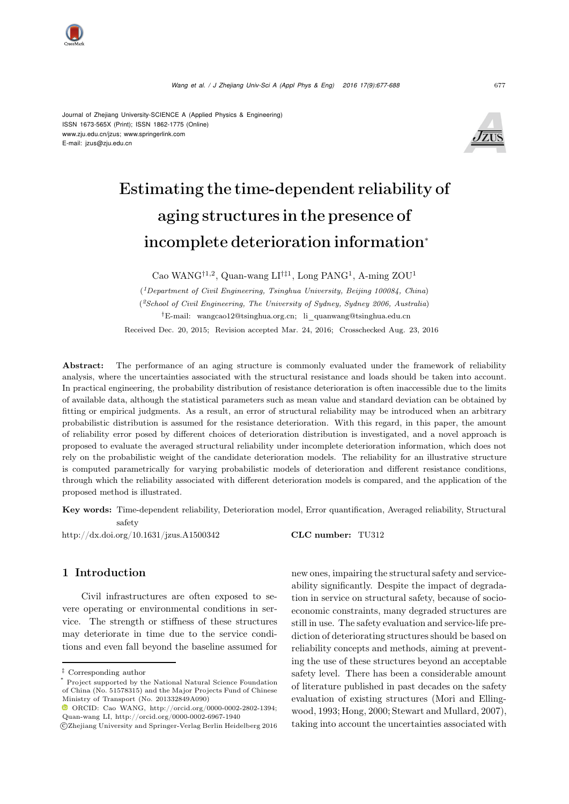

Journal of Zhejiang University-SCIENCE A (Applied Physics & Engineering) ISSN 1673-565X (Print); ISSN 1862-1775 (Online) www.zju.edu.cn/jzus; www.springerlink.com E-mail: jzus@zju.edu.cn



# Estimating the time-dependent reliability of aging structures in the presence of incomplete deterioration information<sup>∗</sup>

Cao WANG<sup>†1,2</sup>, Quan-wang LI<sup>†‡1</sup>, Long PANG<sup>1</sup>, A-ming  $ZOU<sup>1</sup>$ 

(*1Department of Civil Engineering, Tsinghua University, Beijing 100084, China*) (*2School of Civil Engineering, The University of Sydney, Sydney 2006, Australia*) *†*E-mail: wangcao12@tsinghua.org.cn; li\_quanwang@tsinghua.edu.cn Received Dec. 20, 2015; Revision accepted Mar. 24, 2016; Crosschecked Aug. 23, 2016

Abstract: The performance of an aging structure is commonly evaluated under the framework of reliability analysis, where the uncertainties associated with the structural resistance and loads should be taken into account. In practical engineering, the probability distribution of resistance deterioration is often inaccessible due to the limits of available data, although the statistical parameters such as mean value and standard deviation can be obtained by fitting or empirical judgments. As a result, an error of structural reliability may be introduced when an arbitrary probabilistic distribution is assumed for the resistance deterioration. With this regard, in this paper, the amount of reliability error posed by different choices of deterioration distribution is investigated, and a novel approach is proposed to evaluate the averaged structural reliability under incomplete deterioration information, which does not rely on the probabilistic weight of the candidate deterioration models. The reliability for an illustrative structure is computed parametrically for varying probabilistic models of deterioration and different resistance conditions, through which the reliability associated with different deterioration models is compared, and the application of the proposed method is illustrated.

Key words: Time-dependent reliability, Deterioration model, Error quantification, Averaged reliability, Structural safety

http://dx.doi.org/10.1631/jzus.A1500342 CLC number: TU312

## 1 Introduction

Civil infrastructures are often exposed to severe operating or environmental conditions in service. The strength or stiffness of these structures may deteriorate in time due to the service conditions and even fall beyond the baseline assumed for

new ones, impairing the structural safety and serviceability significantly. Despite the impact of degradation in service on structural safety, because of socioeconomic constraints, many degraded structures are still in use. The safety evaluation and service-life prediction of deteriorating structures should be based on reliability concepts and methods, aiming at preventing the use of these structures beyond an acceptable safety level. There has been a considerable amount of literature published in past decades on the safety evaluation of existing structures (Mori and Ellingwood, 1993; Hong, 2000; Stewart and Mullard, 2007), taking into account the uncertainties associated with

*<sup>‡</sup>* Corresponding author

Project supported by the National Natural Science Foundation of China (No. 51578315) and the Major Projects Fund of Chinese Ministry of Transport (No. 201332849A090)

ORCID: Cao WANG, http://orcid.org/0000-0002-2802-1394; Quan-wang LI, http://orcid.org/0000-0002-6967-1940

c Zhejiang University and Springer-Verlag Berlin Heidelberg 2016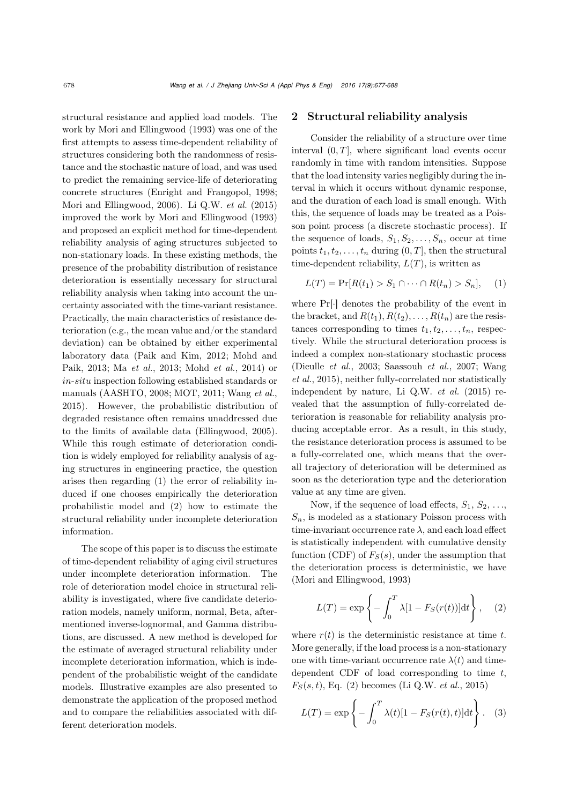structural resistance and applied load models. The work by Mori and Ellingwood (1993) was one of the first attempts to assess time-dependent reliability of structures considering both the randomness of resistance and the stochastic nature of load, and was used to predict the remaining service-life of deteriorating concrete structures (Enright and Frangopol, 1998; Mori and Ellingwood, 2006). Li Q.W. *et al.* (2015) improved the work by Mori and Ellingwood (1993) and proposed an explicit method for time-dependent reliability analysis of aging structures subjected to non-stationary loads. In these existing methods, the presence of the probability distribution of resistance deterioration is essentially necessary for structural reliability analysis when taking into account the uncertainty associated with the time-variant resistance. Practically, the main characteristics of resistance deterioration (e.g., the mean value and/or the standard deviation) can be obtained by either experimental laboratory data (Paik and Kim, 2012; Mohd and Paik, 2013; Ma *et al.*, 2013; Mohd *et al.*, 2014) or in-situ inspection following established standards or manuals (AASHTO, 2008; MOT, 2011; Wang *et al.*, 2015). However, the probabilistic distribution of degraded resistance often remains unaddressed due to the limits of available data (Ellingwood, 2005). While this rough estimate of deterioration condition is widely employed for reliability analysis of aging structures in engineering practice, the question arises then regarding (1) the error of reliability induced if one chooses empirically the deterioration probabilistic model and (2) how to estimate the structural reliability under incomplete deterioration information.

The scope of this paper is to discuss the estimate of time-dependent reliability of aging civil structures under incomplete deterioration information. The role of deterioration model choice in structural reliability is investigated, where five candidate deterioration models, namely uniform, normal, Beta, aftermentioned inverse-lognormal, and Gamma distributions, are discussed. A new method is developed for the estimate of averaged structural reliability under incomplete deterioration information, which is independent of the probabilistic weight of the candidate models. Illustrative examples are also presented to demonstrate the application of the proposed method and to compare the reliabilities associated with different deterioration models.

#### 2 Structural reliability analysis

Consider the reliability of a structure over time interval  $(0, T]$ , where significant load events occur randomly in time with random intensities. Suppose that the load intensity varies negligibly during the interval in which it occurs without dynamic response, and the duration of each load is small enough. With this, the sequence of loads may be treated as a Poisson point process (a discrete stochastic process). If the sequence of loads,  $S_1, S_2, \ldots, S_n$ , occur at time points  $t_1, t_2, \ldots, t_n$  during  $(0, T]$ , then the structural time-dependent reliability,  $L(T)$ , is written as

$$
L(T) = \Pr[R(t_1) > S_1 \cap \dots \cap R(t_n) > S_n], \quad (1)
$$

where Pr[·] denotes the probability of the event in the bracket, and  $R(t_1), R(t_2), \ldots, R(t_n)$  are the resistances corresponding to times  $t_1, t_2, \ldots, t_n$ , respectively. While the structural deterioration process is indeed a complex non-stationary stochastic process (Dieulle *et al.*, 2003; Saassouh *et al.*, 2007; Wang *et al.*, 2015), neither fully-correlated nor statistically independent by nature, Li Q.W. *et al.* (2015) revealed that the assumption of fully-correlated deterioration is reasonable for reliability analysis producing acceptable error. As a result, in this study, the resistance deterioration process is assumed to be a fully-correlated one, which means that the overall trajectory of deterioration will be determined as soon as the deterioration type and the deterioration value at any time are given.

Now, if the sequence of load effects,  $S_1, S_2, \ldots$ ,  $S_n$ , is modeled as a stationary Poisson process with time-invariant occurrence rate  $\lambda$ , and each load effect is statistically independent with cumulative density function (CDF) of  $F_S(s)$ , under the assumption that the deterioration process is deterministic, we have (Mori and Ellingwood, 1993)

$$
L(T) = \exp\left\{-\int_0^T \lambda[1 - F_S(r(t))]dt\right\}, \quad (2)
$$

where  $r(t)$  is the deterministic resistance at time t. More generally, if the load process is a non-stationary one with time-variant occurrence rate  $\lambda(t)$  and timedependent CDF of load corresponding to time  $t$ ,  $F_S(s, t)$ , Eq. (2) becomes (Li Q.W. *et al.*, 2015)

$$
L(T) = \exp\left\{-\int_0^T \lambda(t)[1 - F_S(r(t), t)]dt\right\}.
$$
 (3)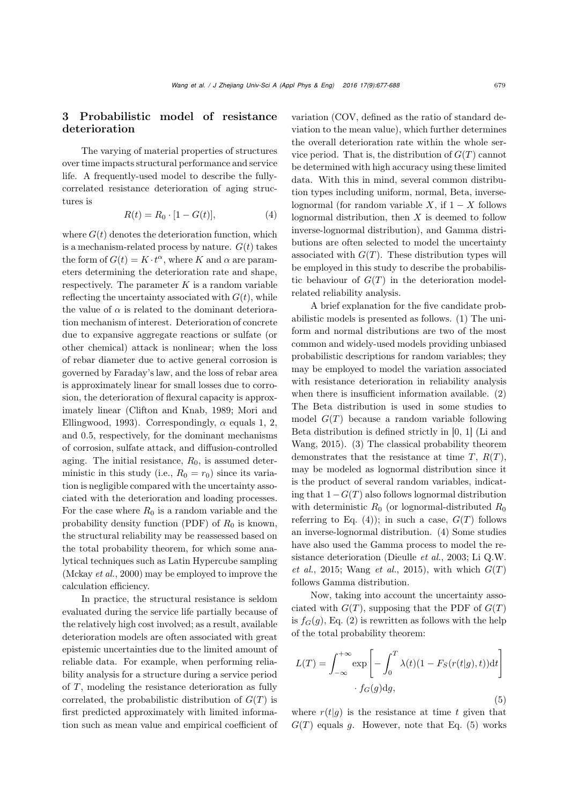## 3 Probabilistic model of resistance deterioration

The varying of material properties of structures over time impacts structural performance and service life. A frequently-used model to describe the fullycorrelated resistance deterioration of aging structures is

$$
R(t) = R_0 \cdot [1 - G(t)],
$$
 (4)

where  $G(t)$  denotes the deterioration function, which is a mechanism-related process by nature.  $G(t)$  takes the form of  $G(t) = K \cdot t^{\alpha}$ , where K and  $\alpha$  are parameters determining the deterioration rate and shape, respectively. The parameter  $K$  is a random variable reflecting the uncertainty associated with  $G(t)$ , while the value of  $\alpha$  is related to the dominant deterioration mechanism of interest. Deterioration of concrete due to expansive aggregate reactions or sulfate (or other chemical) attack is nonlinear; when the loss of rebar diameter due to active general corrosion is governed by Faraday's law, and the loss of rebar area is approximately linear for small losses due to corrosion, the deterioration of flexural capacity is approximately linear (Clifton and Knab, 1989; Mori and Ellingwood, 1993). Correspondingly,  $\alpha$  equals 1, 2, and 0.5, respectively, for the dominant mechanisms of corrosion, sulfate attack, and diffusion-controlled aging. The initial resistance,  $R_0$ , is assumed deterministic in this study (i.e.,  $R_0 = r_0$ ) since its variation is negligible compared with the uncertainty associated with the deterioration and loading processes. For the case where  $R_0$  is a random variable and the probability density function (PDF) of  $R_0$  is known, the structural reliability may be reassessed based on the total probability theorem, for which some analytical techniques such as Latin Hypercube sampling (Mckay *et al.*, 2000) may be employed to improve the calculation efficiency.

In practice, the structural resistance is seldom evaluated during the service life partially because of the relatively high cost involved; as a result, available deterioration models are often associated with great epistemic uncertainties due to the limited amount of reliable data. For example, when performing reliability analysis for a structure during a service period of  $T$ , modeling the resistance deterioration as fully correlated, the probabilistic distribution of  $G(T)$  is first predicted approximately with limited information such as mean value and empirical coefficient of variation (COV, defined as the ratio of standard deviation to the mean value), which further determines the overall deterioration rate within the whole service period. That is, the distribution of  $G(T)$  cannot be determined with high accuracy using these limited data. With this in mind, several common distribution types including uniform, normal, Beta, inverselognormal (for random variable X, if  $1 - X$  follows lognormal distribution, then  $X$  is deemed to follow inverse-lognormal distribution), and Gamma distributions are often selected to model the uncertainty associated with  $G(T)$ . These distribution types will be employed in this study to describe the probabilistic behaviour of  $G(T)$  in the deterioration modelrelated reliability analysis.

A brief explanation for the five candidate probabilistic models is presented as follows. (1) The uniform and normal distributions are two of the most common and widely-used models providing unbiased probabilistic descriptions for random variables; they may be employed to model the variation associated with resistance deterioration in reliability analysis when there is insufficient information available. (2) The Beta distribution is used in some studies to model  $G(T)$  because a random variable following Beta distribution is defined strictly in [0, 1] (Li and Wang, 2015). (3) The classical probability theorem demonstrates that the resistance at time  $T$ ,  $R(T)$ , may be modeled as lognormal distribution since it is the product of several random variables, indicating that  $1-G(T)$  also follows lognormal distribution with deterministic  $R_0$  (or lognormal-distributed  $R_0$ referring to Eq. (4)); in such a case,  $G(T)$  follows an inverse-lognormal distribution. (4) Some studies have also used the Gamma process to model the resistance deterioration (Dieulle *et al.*, 2003; Li Q.W. *et al.*, 2015; Wang *et al.*, 2015), with which  $G(T)$ follows Gamma distribution.

Now, taking into account the uncertainty associated with  $G(T)$ , supposing that the PDF of  $G(T)$ is  $f_G(g)$ , Eq. (2) is rewritten as follows with the help of the total probability theorem:

$$
L(T) = \int_{-\infty}^{+\infty} \exp\left[-\int_0^T \lambda(t)(1 - F_S(r(t|g), t))dt\right]
$$

$$
\cdot f_G(g) dg,
$$
\n(5)

where  $r(t|q)$  is the resistance at time t given that  $G(T)$  equals g. However, note that Eq. (5) works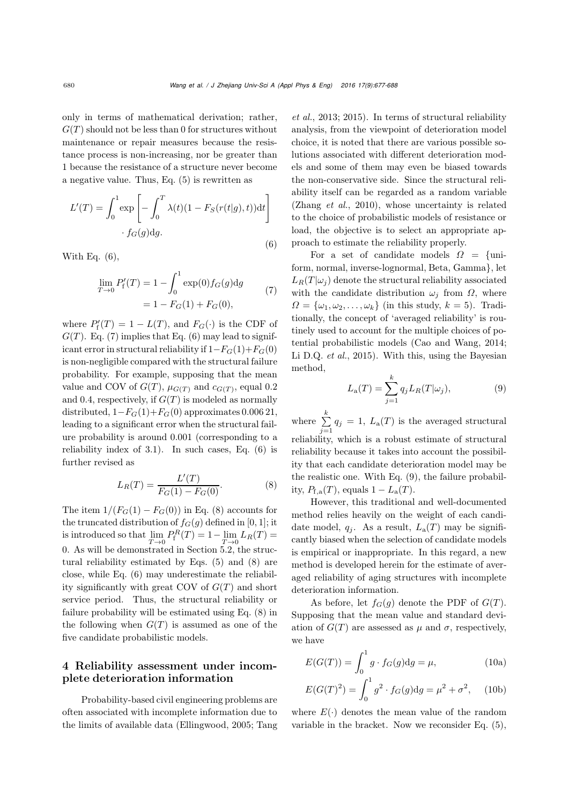only in terms of mathematical derivation; rather,  $G(T)$  should not be less than 0 for structures without maintenance or repair measures because the resistance process is non-increasing, nor be greater than 1 because the resistance of a structure never become a negative value. Thus, Eq. (5) is rewritten as

$$
L'(T) = \int_0^1 \exp\left[-\int_0^T \lambda(t)(1 - F_S(r(t|g), t))dt\right]
$$

$$
\cdot f_G(g) dg.
$$
 (6)

With Eq.  $(6)$ ,

$$
\lim_{T \to 0} P_{f}'(T) = 1 - \int_{0}^{1} \exp(0) f_{G}(g) dg
$$
  
= 1 - F<sub>G</sub>(1) + F<sub>G</sub>(0), (7)

where  $P'_{\rm f}(T) = 1 - L(T)$ , and  $F_G(\cdot)$  is the CDF of  $C(T)$ . Eq. (7) implies that Eq. (6) more load to signifi- $G(T)$ . Eq. (7) implies that Eq. (6) may lead to significant error in structural reliability if  $1-F<sub>G</sub>(1)+F<sub>G</sub>(0)$ is non-negligible compared with the structural failure probability. For example, supposing that the mean value and COV of  $G(T)$ ,  $\mu_{G(T)}$  and  $c_{G(T)}$ , equal 0.2 and 0.4, respectively, if  $G(T)$  is modeled as normally distributed,  $1-F<sub>G</sub>(1)+F<sub>G</sub>(0)$  approximates 0.006 21, leading to a significant error when the structural failure probability is around 0.001 (corresponding to a reliability index of 3.1). In such cases, Eq. (6) is further revised as

$$
L_R(T) = \frac{L'(T)}{F_G(1) - F_G(0)}.\t\t(8)
$$

The item  $1/(F_G(1) - F_G(0))$  in Eq. (8) accounts for the truncated distribution of  $f_G(g)$  defined in [0, 1]; it is introduced so that  $\lim_{T\to 0} P_f^R(T) = 1 - \lim_{T\to 0} L_R(T) =$ 0. As will be demonstrated in Section 5.2, the structural reliability estimated by Eqs. (5) and (8) are close, while Eq. (6) may underestimate the reliability significantly with great COV of  $G(T)$  and short service period. Thus, the structural reliability or failure probability will be estimated using Eq. (8) in the following when  $G(T)$  is assumed as one of the five candidate probabilistic models.

## 4 Reliability assessment under incomplete deterioration information

Probability-based civil engineering problems are often associated with incomplete information due to the limits of available data (Ellingwood, 2005; Tang *et al.*, 2013; 2015). In terms of structural reliability analysis, from the viewpoint of deterioration model choice, it is noted that there are various possible solutions associated with different deterioration models and some of them may even be biased towards the non-conservative side. Since the structural reliability itself can be regarded as a random variable (Zhang *et al.*, 2010), whose uncertainty is related to the choice of probabilistic models of resistance or load, the objective is to select an appropriate approach to estimate the reliability properly.

For a set of candidate models  $\Omega = \{\text{uni} - \}$ form, normal, inverse-lognormal, Beta, Gamma}, let  $L_R(T|\omega_i)$  denote the structural reliability associated with the candidate distribution  $\omega_i$  from  $\Omega$ , where  $\Omega = {\omega_1, \omega_2, \ldots, \omega_k}$  (in this study,  $k = 5$ ). Traditionally, the concept of 'averaged reliability' is routinely used to account for the multiple choices of potential probabilistic models (Cao and Wang, 2014; Li D.Q. *et al.*, 2015). With this, using the Bayesian method,

$$
L_{\mathbf{a}}(T) = \sum_{j=1}^{k} q_j L_R(T|\omega_j), \tag{9}
$$

where  $\sum_{k=1}^{k}$  $\sum_{j=1}^{n} q_j = 1, L_a(T)$  is the averaged structural reliability, which is a robust estimate of structural reliability because it takes into account the possibility that each candidate deterioration model may be the realistic one. With Eq. (9), the failure probability,  $P_{f,a}(T)$ , equals  $1 - L_a(T)$ .

However, this traditional and well-documented method relies heavily on the weight of each candidate model,  $q_i$ . As a result,  $L_a(T)$  may be significantly biased when the selection of candidate models is empirical or inappropriate. In this regard, a new method is developed herein for the estimate of averaged reliability of aging structures with incomplete deterioration information.

As before, let  $f_G(g)$  denote the PDF of  $G(T)$ . Supposing that the mean value and standard deviation of  $G(T)$  are assessed as  $\mu$  and  $\sigma$ , respectively, we have

$$
E(G(T)) = \int_0^1 g \cdot f_G(g) \mathrm{d}g = \mu,\tag{10a}
$$

$$
E(G(T)^{2}) = \int_{0}^{1} g^{2} \cdot f_{G}(g) dg = \mu^{2} + \sigma^{2}, \quad (10b)
$$

where  $E(\cdot)$  denotes the mean value of the random variable in the bracket. Now we reconsider Eq. (5),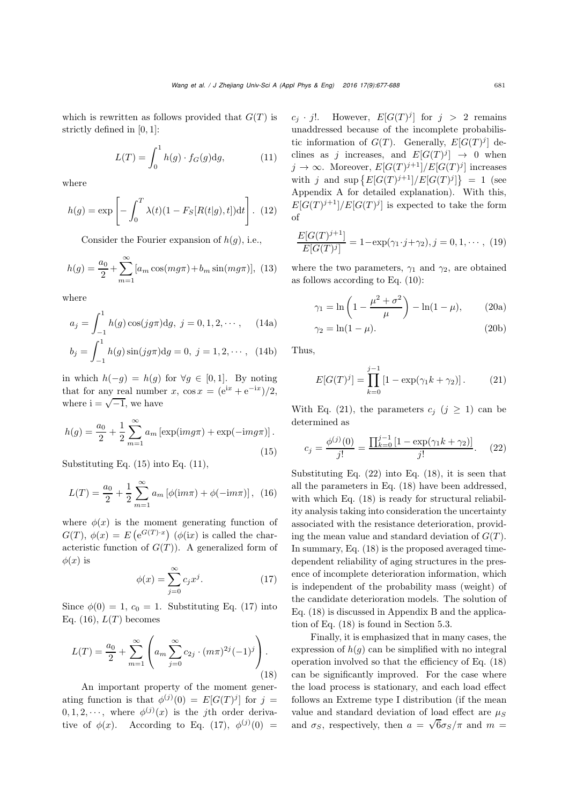which is rewritten as follows provided that  $G(T)$  is strictly defined in [0, 1]:

$$
L(T) = \int_0^1 h(g) \cdot f_G(g) \mathrm{d}g,\tag{11}
$$

where

$$
h(g) = \exp\left[-\int_0^T \lambda(t)(1 - F_S[R(t|g), t])dt\right].
$$
 (12)

Consider the Fourier expansion of  $h(g)$ , i.e.,

$$
h(g) = \frac{a_0}{2} + \sum_{m=1}^{\infty} [a_m \cos(mg\pi) + b_m \sin(mg\pi)], \tag{13}
$$

where

$$
a_j = \int_{-1}^{1} h(g) \cos(jg\pi) \mathrm{d}g, \ j = 0, 1, 2, \cdots, \quad (14a)
$$

$$
b_j = \int_{-1}^{1} h(g) \sin(jg\pi) \mathrm{d}g = 0, \ j = 1, 2, \cdots, \ (14b)
$$

in which  $h(-g) = h(g)$  for ∀g ∈ [0,1]. By noting that for any real number x,  $\cos x = (e^{ix} + e^{-ix})/2$ , where  $i = \sqrt{-1}$ , we have

$$
h(g) = \frac{a_0}{2} + \frac{1}{2} \sum_{m=1}^{\infty} a_m \left[ \exp(img\pi) + \exp(-img\pi) \right].
$$
\n(15)

Substituting Eq. (15) into Eq. (11),

$$
L(T) = \frac{a_0}{2} + \frac{1}{2} \sum_{m=1}^{\infty} a_m \left[ \phi(\mathrm{i}m\pi) + \phi(-\mathrm{i}m\pi) \right], \tag{16}
$$

where  $\phi(x)$  is the moment generating function of  $G(T)$ ,  $\phi(x) = E\left(e^{G(T) \cdot x}\right)$  ( $\phi(ix)$  is called the char-<br>extensitie function of  $G(T)$ ). A generalized form of acteristic function of  $G(T)$ ). A generalized form of  $\phi(x)$  is

$$
\phi(x) = \sum_{j=0}^{\infty} c_j x^j.
$$
 (17)

Since  $\phi(0) = 1$ ,  $c_0 = 1$ . Substituting Eq. (17) into Eq.  $(16)$ ,  $L(T)$  becomes

$$
L(T) = \frac{a_0}{2} + \sum_{m=1}^{\infty} \left( a_m \sum_{j=0}^{\infty} c_{2j} \cdot (m\pi)^{2j} (-1)^j \right).
$$
\n(18)

An important property of the moment generating function is that  $\phi^{(j)}(0) = E[G(T)^j]$  for  $j =$  $0, 1, 2, \dots$ , where  $\phi^{(j)}(x)$  is the jth order derivative of  $\phi(x)$ . According to Eq. (17),  $\phi^{(j)}(0)$  =  $c_j \cdot j!$ . However,  $E[G(T)^j]$  for  $j > 2$  remains unaddressed because of the incomplete probabilistic information of  $G(T)$ . Generally,  $E[G(T)^{j}]$  declines as j increases, and  $E[G(T)^j] \rightarrow 0$  when  $j \to \infty$ . Moreover,  $E[G(T)^{j+1}]/E[G(T)^{j}]$  increases with j and  $\sup \{E[G(T)^{j+1}]/E[G(T)^{j}]\} = 1$  (see<br>Appendix A for detailed explanation). With this Appendix A for detailed explanation). With this,  $E[G(T)^{j+1}]/E[G(T)^{j}]$  is expected to take the form of

$$
\frac{E[G(T)^{j+1}]}{E[G(T)^{j}]} = 1 - \exp(\gamma_1 \cdot j + \gamma_2), j = 0, 1, \cdots, (19)
$$

where the two parameters,  $\gamma_1$  and  $\gamma_2$ , are obtained as follows according to Eq. (10):

$$
\gamma_1 = \ln\left(1 - \frac{\mu^2 + \sigma^2}{\mu}\right) - \ln(1 - \mu),\qquad(20a)
$$

$$
\gamma_2 = \ln(1 - \mu). \tag{20b}
$$

Thus,

$$
E[G(T)^{j}] = \prod_{k=0}^{j-1} [1 - \exp(\gamma_1 k + \gamma_2)].
$$
 (21)

With Eq. (21), the parameters  $c_j$  ( $j \geq 1$ ) can be determined as

$$
c_j = \frac{\phi^{(j)}(0)}{j!} = \frac{\prod_{k=0}^{j-1} \left[1 - \exp(\gamma_1 k + \gamma_2)\right]}{j!}.
$$
 (22)

Substituting Eq. (22) into Eq. (18), it is seen that all the parameters in Eq. (18) have been addressed, with which Eq. (18) is ready for structural reliability analysis taking into consideration the uncertainty associated with the resistance deterioration, providing the mean value and standard deviation of  $G(T)$ . In summary, Eq. (18) is the proposed averaged timedependent reliability of aging structures in the presence of incomplete deterioration information, which is independent of the probability mass (weight) of the candidate deterioration models. The solution of Eq. (18) is discussed in Appendix B and the application of Eq. (18) is found in Section 5.3.

Finally, it is emphasized that in many cases, the expression of  $h(g)$  can be simplified with no integral operation involved so that the efficiency of Eq. (18) can be significantly improved. For the case where the load process is stationary, and each load effect follows an Extreme type I distribution (if the mean value and standard deviation of load effect are  $\mu<sub>S</sub>$ and  $\sigma_S$ , respectively, then  $a = \sqrt{6}\sigma_S/\pi$  and  $m =$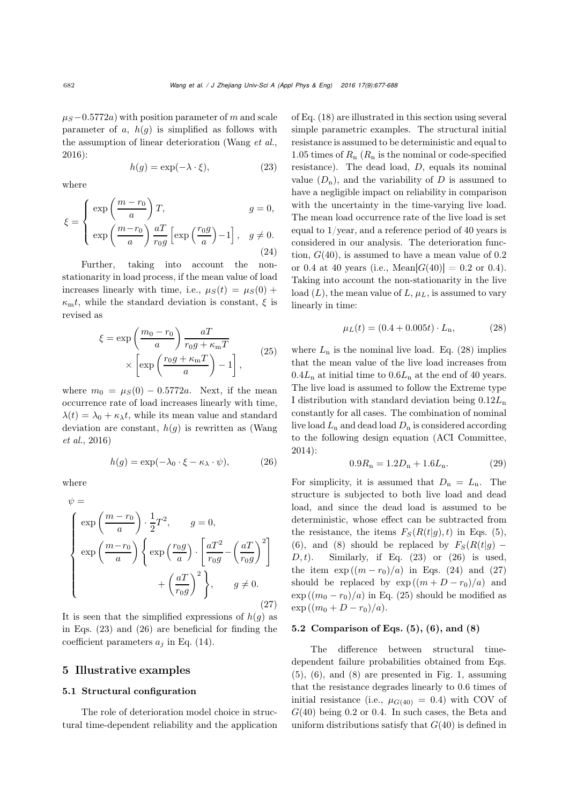$\mu_S-0.5772a$ ) with position parameter of m and scale parameter of  $a, h(g)$  is simplified as follows with the assumption of linear deterioration (Wang *et al.*, 2016):

$$
h(g) = \exp(-\lambda \cdot \xi),\tag{23}
$$

where

$$
\xi = \begin{cases} \exp\left(\frac{m - r_0}{a}\right)T, & g = 0, \\ \exp\left(\frac{m - r_0}{a}\right)\frac{aT}{r_0g}\left[\exp\left(\frac{r_0g}{a}\right) - 1\right], & g \neq 0. \end{cases}
$$
\n(24)

Further, taking into account the nonstationarity in load process, if the mean value of load increases linearly with time, i.e.,  $\mu_S(t) = \mu_S(0) +$  $\kappa_m t$ , while the standard deviation is constant,  $\xi$  is revised as

$$
\xi = \exp\left(\frac{m_0 - r_0}{a}\right) \frac{aT}{r_0 g + \kappa_m T} \times \left[\exp\left(\frac{r_0 g + \kappa_m T}{a}\right) - 1\right],
$$
\n(25)

where  $m_0 = \mu_S(0) - 0.5772a$ . Next, if the mean occurrence rate of load increases linearly with time,  $\lambda(t) = \lambda_0 + \kappa_\lambda t$ , while its mean value and standard deviation are constant,  $h(q)$  is rewritten as (Wang *et al.*, 2016)

$$
h(g) = \exp(-\lambda_0 \cdot \xi - \kappa_\lambda \cdot \psi), \tag{26}
$$

where

$$
\psi = \begin{cases} \exp\left(\frac{m-r_0}{a}\right) \cdot \frac{1}{2}T^2, & g = 0, \\ \exp\left(\frac{m-r_0}{a}\right) \left\{ \exp\left(\frac{r_0 g}{a}\right) \cdot \left[\frac{aT^2}{r_0 g} - \left(\frac{aT}{r_0 g}\right)^2 \right] + \left(\frac{aT}{r_0 g}\right)^2 \right\}, & g \neq 0. \end{cases}
$$
\n(27)

It is seen that the simplified expressions of  $h(g)$  as in Eqs. (23) and (26) are beneficial for finding the coefficient parameters  $a_j$  in Eq. (14).

#### 5 Illustrative examples

#### 5.1 Structural configuration

The role of deterioration model choice in structural time-dependent reliability and the application of Eq. (18) are illustrated in this section using several simple parametric examples. The structural initial resistance is assumed to be deterministic and equal to 1.05 times of  $R_n$  ( $R_n$  is the nominal or code-specified resistance). The dead load, D, equals its nominal value  $(D_n)$ , and the variability of D is assumed to have a negligible impact on reliability in comparison with the uncertainty in the time-varying live load. The mean load occurrence rate of the live load is set equal to 1/year, and a reference period of 40 years is considered in our analysis. The deterioration function,  $G(40)$ , is assumed to have a mean value of 0.2 or 0.4 at 40 years (i.e., Mean $[G(40)] = 0.2$  or 0.4). Taking into account the non-stationarity in the live load  $(L)$ , the mean value of  $L, \mu_L$ , is assumed to vary linearly in time:

$$
\mu_L(t) = (0.4 + 0.005t) \cdot L_n, \tag{28}
$$

where  $L_n$  is the nominal live load. Eq. (28) implies that the mean value of the live load increases from  $0.4L_n$  at initial time to  $0.6L_n$  at the end of 40 years. The live load is assumed to follow the Extreme type I distribution with standard deviation being  $0.12L_n$ constantly for all cases. The combination of nominal live load  $L_n$  and dead load  $D_n$  is considered according to the following design equation (ACI Committee, 2014):

$$
0.9R_{\rm n} = 1.2D_{\rm n} + 1.6L_{\rm n}.\tag{29}
$$

For simplicity, it is assumed that  $D_n = L_n$ . The structure is subjected to both live load and dead load, and since the dead load is assumed to be deterministic, whose effect can be subtracted from the resistance, the items  $F_S(R(t|g), t)$  in Eqs. (5), (6), and (8) should be replaced by  $F_S(R(t|g) - D, t)$ . Similarly, if Eq. (23) or (26) is used, Similarly, if Eq.  $(23)$  or  $(26)$  is used, the item  $\exp((m - r_0)/a)$  in Eqs. (24) and (27) should be replaced by  $\exp((m+D-r_0)/a)$  and  $\exp((m_0 - r_0)/a)$  in Eq. (25) should be modified as  $\exp((m_0 + D - r_0)/a).$ 

#### 5.2 Comparison of Eqs. (5), (6), and (8)

The difference between structural timedependent failure probabilities obtained from Eqs.  $(5)$ ,  $(6)$ , and  $(8)$  are presented in Fig. 1, assuming that the resistance degrades linearly to 0.6 times of initial resistance (i.e.,  $\mu_{G(40)} = 0.4$ ) with COV of  $G(40)$  being 0.2 or 0.4. In such cases, the Beta and uniform distributions satisfy that  $G(40)$  is defined in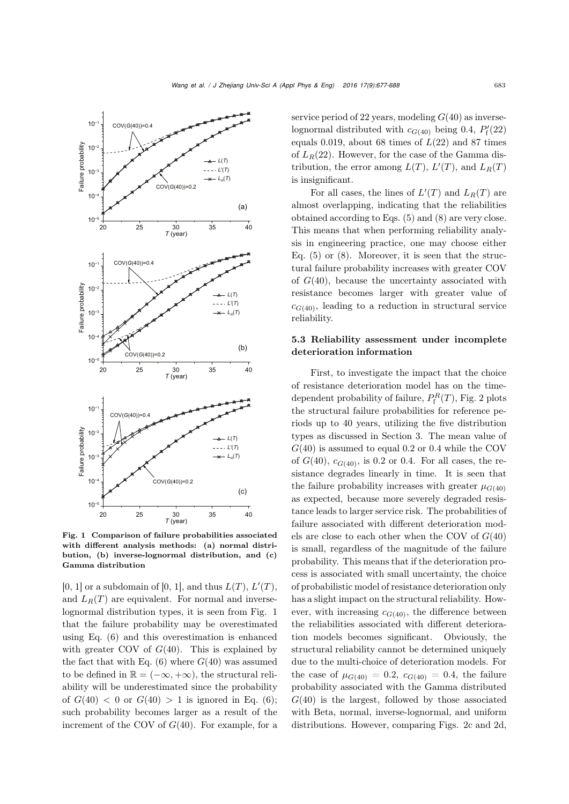

Fig. 1 Comparison of failure probabilities associated with different analysis methods: (a) normal distribution, (b) inverse-lognormal distribution, and (c) Gamma distribution

[0, 1] or a subdomain of [0, 1], and thus  $L(T)$ ,  $L'(T)$ ,<br>and  $L(T)$ , are conjugatively For parmel and inverse. and  $L_R(T)$  are equivalent. For normal and inverselognormal distribution types, it is seen from Fig. 1 that the failure probability may be overestimated using Eq. (6) and this overestimation is enhanced with greater COV of  $G(40)$ . This is explained by the fact that with Eq.  $(6)$  where  $G(40)$  was assumed to be defined in  $\mathbb{R} = (-\infty, +\infty)$ , the structural reliability will be underestimated since the probability of  $G(40) < 0$  or  $G(40) > 1$  is ignored in Eq. (6); such probability becomes larger as a result of the increment of the COV of  $G(40)$ . For example, for a

service period of 22 years, modeling  $G(40)$  as inverselognormal distributed with  $c_{G(40)}$  being 0.4,  $P'_{I}(22)$ <br>cause 0.010, about 68 times of  $I(22)$  and 87 times equals 0.019, about 68 times of  $L(22)$  and 87 times of  $L_R(22)$ . However, for the case of the Gamma distribution, the error among  $L(T)$ ,  $L'(T)$ , and  $L_R(T)$ is insignificant.

For all cases, the lines of  $L'(T)$  and  $L_R(T)$  are<br>set evenlopping indicating that the policibilities almost overlapping, indicating that the reliabilities obtained according to Eqs. (5) and (8) are very close. This means that when performing reliability analysis in engineering practice, one may choose either Eq.  $(5)$  or  $(8)$ . Moreover, it is seen that the structural failure probability increases with greater COV of  $G(40)$ , because the uncertainty associated with resistance becomes larger with greater value of  $c_{G(40)}$ , leading to a reduction in structural service reliability.

## 5.3 Reliability assessment under incomplete deterioration information

First, to investigate the impact that the choice of resistance deterioration model has on the timedependent probability of failure,  $P_f^R(T)$ , Fig. 2 plots<br>the structural failure probabilities for reference no the structural failure probabilities for reference periods up to 40 years, utilizing the five distribution types as discussed in Section 3. The mean value of  $G(40)$  is assumed to equal 0.2 or 0.4 while the COV of  $G(40)$ ,  $c_{G(40)}$ , is 0.2 or 0.4. For all cases, the resistance degrades linearly in time. It is seen that the failure probability increases with greater  $\mu_{G(40)}$ as expected, because more severely degraded resistance leads to larger service risk. The probabilities of failure associated with different deterioration models are close to each other when the COV of  $G(40)$ is small, regardless of the magnitude of the failure probability. This means that if the deterioration process is associated with small uncertainty, the choice of probabilistic model of resistance deterioration only has a slight impact on the structural reliability. However, with increasing  $c_{G(40)}$ , the difference between the reliabilities associated with different deterioration models becomes significant. Obviously, the structural reliability cannot be determined uniquely due to the multi-choice of deterioration models. For the case of  $\mu_{G(40)} = 0.2$ ,  $c_{G(40)} = 0.4$ , the failure probability associated with the Gamma distributed  $G(40)$  is the largest, followed by those associated with Beta, normal, inverse-lognormal, and uniform distributions. However, comparing Figs. 2c and 2d,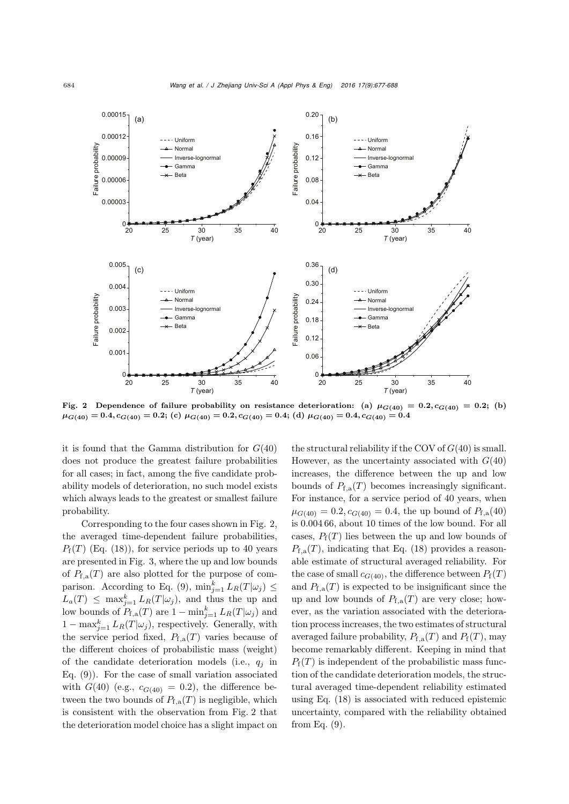

Fig. 2 Dependence of failure probability on resistance deterioration: (a)  $\mu_{G(40)} = 0.2, c_{G(40)} = 0.2$ ; (b)  $\mu_{G(40)} = 0.4$ ,  $c_{G(40)} = 0.2$ ; (c)  $\mu_{G(40)} = 0.2$ ,  $c_{G(40)} = 0.4$ ; (d)  $\mu_{G(40)} = 0.4$ ,  $c_{G(40)} = 0.4$ 

it is found that the Gamma distribution for  $G(40)$ does not produce the greatest failure probabilities for all cases; in fact, among the five candidate probability models of deterioration, no such model exists which always leads to the greatest or smallest failure probability.

Corresponding to the four cases shown in Fig. 2, the averaged time-dependent failure probabilities,  $P_f(T)$  (Eq. (18)), for service periods up to 40 years are presented in Fig. 3, where the up and low bounds of  $P_{f,a}(T)$  are also plotted for the purpose of comparison. According to Eq. (9),  $\min_{j=1}^k L_R(T|\omega_j) \leq L(T) \leq \max_{j=1}^k L_R(T|\omega_j)$  $L_a(T) \leq \max_{j=1}^k L_R(T|\omega_j)$ , and thus the up and  $\lim_{L \to \infty} \text{hom}(\Omega)$  and  $L_m(T|\omega_j)$  and low bounds of  $P_{f,a}(T)$  are  $1 - \min_{j=1}^k L_R(T|\omega_j)$  and  $1 - \max_{k=1}^k (T|\omega_k)$  reconcilium Concretively  $1 - \max_{j=1}^{k} L_R(T|\omega_j)$ , respectively. Generally, with the service period fixed,  $P_{f,a}(T)$  varies because of the different choices of probabilistic mass (weight) of the candidate deterioration models (i.e.,  $q_i$  in Eq. (9)). For the case of small variation associated with  $G(40)$  (e.g.,  $c_{G(40)} = 0.2$ ), the difference between the two bounds of  $P_{f,a}(T)$  is negligible, which is consistent with the observation from Fig. 2 that the deterioration model choice has a slight impact on

the structural reliability if the COV of  $G(40)$  is small. However, as the uncertainty associated with  $G(40)$ increases, the difference between the up and low bounds of  $P_{f,a}(T)$  becomes increasingly significant. For instance, for a service period of 40 years, when  $\mu_{G(40)} = 0.2, c_{G(40)} = 0.4$ , the up bound of  $P_{f,a}(40)$ is 0.004 66, about 10 times of the low bound. For all cases,  $P_f(T)$  lies between the up and low bounds of  $P_{f,a}(T)$ , indicating that Eq. (18) provides a reasonable estimate of structural averaged reliability. For the case of small  $c_{G(40)}$ , the difference between  $P_f(T)$ and  $P_{f,a}(T)$  is expected to be insignificant since the up and low bounds of  $P_{f,a}(T)$  are very close; however, as the variation associated with the deterioration process increases, the two estimates of structural averaged failure probability,  $P_{f,a}(T)$  and  $P_f(T)$ , may become remarkably different. Keeping in mind that  $P_f(T)$  is independent of the probabilistic mass function of the candidate deterioration models, the structural averaged time-dependent reliability estimated using Eq. (18) is associated with reduced epistemic uncertainty, compared with the reliability obtained from Eq. (9).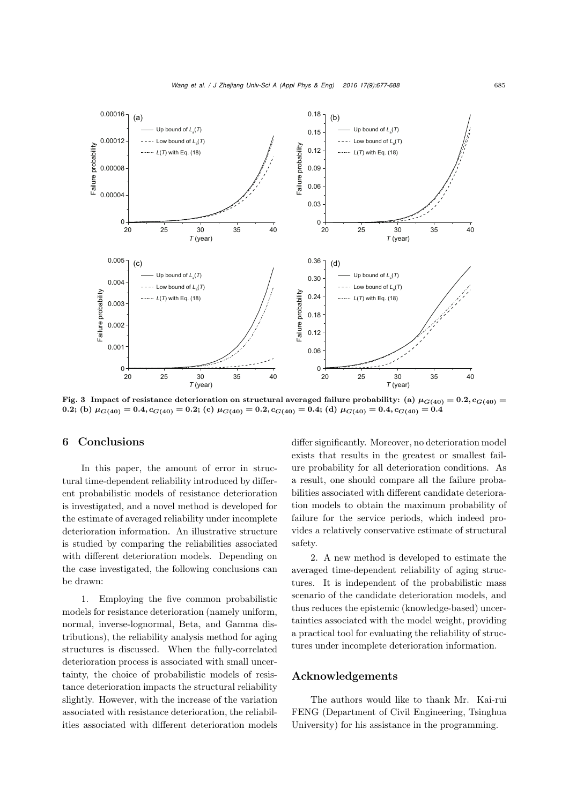

Fig. 3 Impact of resistance deterioration on structural averaged failure probability: (a)  $\mu_{G(40)} = 0.2, c_{G(40)} =$ 0.2; (b)  $\mu_{G(40)} = 0.4$ ,  $c_{G(40)} = 0.2$ ; (c)  $\mu_{G(40)} = 0.2$ ,  $c_{G(40)} = 0.4$ ; (d)  $\mu_{G(40)} = 0.4$ ,  $c_{G(40)} = 0.4$ 

#### 6 Conclusions

In this paper, the amount of error in structural time-dependent reliability introduced by different probabilistic models of resistance deterioration is investigated, and a novel method is developed for the estimate of averaged reliability under incomplete deterioration information. An illustrative structure is studied by comparing the reliabilities associated with different deterioration models. Depending on the case investigated, the following conclusions can be drawn:

1. Employing the five common probabilistic models for resistance deterioration (namely uniform, normal, inverse-lognormal, Beta, and Gamma distributions), the reliability analysis method for aging structures is discussed. When the fully-correlated deterioration process is associated with small uncertainty, the choice of probabilistic models of resistance deterioration impacts the structural reliability slightly. However, with the increase of the variation associated with resistance deterioration, the reliabilities associated with different deterioration models differ significantly. Moreover, no deterioration model exists that results in the greatest or smallest failure probability for all deterioration conditions. As a result, one should compare all the failure probabilities associated with different candidate deterioration models to obtain the maximum probability of failure for the service periods, which indeed provides a relatively conservative estimate of structural safety.

2. A new method is developed to estimate the averaged time-dependent reliability of aging structures. It is independent of the probabilistic mass scenario of the candidate deterioration models, and thus reduces the epistemic (knowledge-based) uncertainties associated with the model weight, providing a practical tool for evaluating the reliability of structures under incomplete deterioration information.

### Acknowledgements

The authors would like to thank Mr. Kai-rui FENG (Department of Civil Engineering, Tsinghua University) for his assistance in the programming.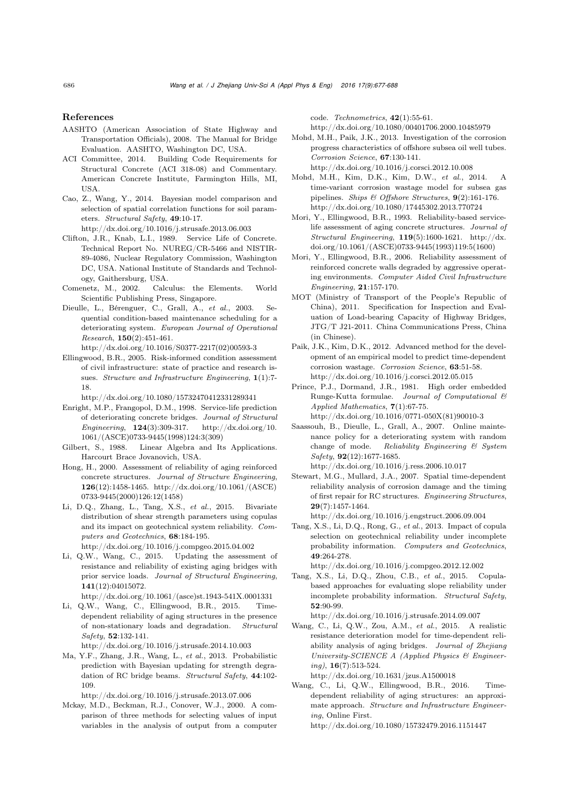#### References

- AASHTO (American Association of State Highway and Transportation Officials), 2008. The Manual for Bridge Evaluation. AASHTO, Washington DC, USA.
- ACI Committee, 2014. Building Code Requirements for Structural Concrete (ACI 318-08) and Commentary. American Concrete Institute, Farmington Hills, MI, USA.
- Cao, Z., Wang, Y., 2014. Bayesian model comparison and selection of spatial correlation functions for soil parameters. *Structural Safety*, 49:10-17. http://dx.doi.org/10.1016/j.strusafe.2013.06.003
- Clifton, J.R., Knab, L.I., 1989. Service Life of Concrete. Technical Report No. NUREG/CR-5466 and NISTIR-89-4086, Nuclear Regulatory Commission, Washington DC, USA. National Institute of Standards and Technology, Gaithersburg, USA.
- Comenetz, M., 2002. Calculus: the Elements. World Scientific Publishing Press, Singapore.
- Dieulle, L., Bérenguer, C., Grall, A., *et al.*, 2003. Sequential condition-based maintenance scheduling for a deteriorating system. *European Journal of Operational Research*, 150(2):451-461.
- http://dx.doi.org/10.1016/S0377-2217(02)00593-3 Ellingwood, B.R., 2005. Risk-informed condition assessment of civil infrastructure: state of practice and research issues. *Structure and Infrastructure Engineering*, 1(1):7- 18.

http://dx.doi.org/10.1080/15732470412331289341

- Enright, M.P., Frangopol, D.M., 1998. Service-life prediction of deteriorating concrete bridges. *Journal of Structural Engineering*, 124(3):309-317. http://dx.doi.org/10. 1061/(ASCE)0733-9445(1998)124:3(309)
- Gilbert, S., 1988. Linear Algebra and Its Applications. Harcourt Brace Jovanovich, USA.
- Hong, H., 2000. Assessment of reliability of aging reinforced concrete structures. *Journal of Structure Engineering*, 126(12):1458-1465. http://dx.doi.org/10.1061/(ASCE) 0733-9445(2000)126:12(1458)
- Li, D.Q., Zhang, L., Tang, X.S., *et al.*, 2015. Bivariate distribution of shear strength parameters using copulas and its impact on geotechnical system reliability. *Computers and Geotechnics*, 68:184-195. http://dx.doi.org/10.1016/j.compgeo.2015.04.002
- Li, Q.W., Wang, C., 2015. Updating the assessment of resistance and reliability of existing aging bridges with prior service loads. *Journal of Structural Engineering*,

141(12):04015072. http://dx.doi.org/10.1061/(asce)st.1943-541X.0001331

- Li, Q.W., Wang, C., Ellingwood, B.R., 2015. Timedependent reliability of aging structures in the presence of non-stationary loads and degradation. *Structural Safety*, 52:132-141.
	- http://dx.doi.org/10.1016/j.strusafe.2014.10.003
- Ma, Y.F., Zhang, J.R., Wang, L., *et al.*, 2013. Probabilistic prediction with Bayesian updating for strength degradation of RC bridge beams. *Structural Safety*, 44:102- 109.

http://dx.doi.org/10.1016/j.strusafe.2013.07.006

Mckay, M.D., Beckman, R.J., Conover, W.J., 2000. A comparison of three methods for selecting values of input variables in the analysis of output from a computer code. *Technometrics*, 42(1):55-61.

http://dx.doi.org/10.1080/00401706.2000.10485979

- Mohd, M.H., Paik, J.K., 2013. Investigation of the corrosion progress characteristics of offshore subsea oil well tubes. *Corrosion Science*, 67:130-141. http://dx.doi.org/10.1016/j.corsci.2012.10.008
- Mohd, M.H., Kim, D.K., Kim, D.W., *et al.*, 2014. A time-variant corrosion wastage model for subsea gas pipelines. *Ships & Offshore Structures*, 9(2):161-176. http://dx.doi.org/10.1080/17445302.2013.770724
- Mori, Y., Ellingwood, B.R., 1993. Reliability-based servicelife assessment of aging concrete structures. *Journal of Structural Engineering*, 119(5):1600-1621. http://dx. doi.org/10.1061/(ASCE)0733-9445(1993)119:5(1600)
- Mori, Y., Ellingwood, B.R., 2006. Reliability assessment of reinforced concrete walls degraded by aggressive operating environments. *Computer Aided Civil Infrastructure Engineering*, 21:157-170.
- MOT (Ministry of Transport of the People's Republic of China), 2011. Specification for Inspection and Evaluation of Load-bearing Capacity of Highway Bridges, JTG/T J21-2011. China Communications Press, China (in Chinese).
- Paik, J.K., Kim, D.K., 2012. Advanced method for the development of an empirical model to predict time-dependent corrosion wastage. *Corrosion Science*, 63:51-58. http://dx.doi.org/10.1016/j.corsci.2012.05.015
- Prince, P.J., Dormand, J.R., 1981. High order embedded Runge-Kutta formulae. *Journal of Computational & Applied Mathematics*, 7(1):67-75. http://dx.doi.org/10.1016/0771-050X(81)90010-3
- Saassouh, B., Dieulle, L., Grall, A., 2007. Online maintenance policy for a deteriorating system with random change of mode. *Reliability Engineering & System Safety*, 92(12):1677-1685.
- http://dx.doi.org/10.1016/j.ress.2006.10.017 Stewart, M.G., Mullard, J.A., 2007. Spatial time-dependent reliability analysis of corrosion damage and the timing of first repair for RC structures. *Engineering Structures*,
	- 29(7):1457-1464. http://dx.doi.org/10.1016/j.engstruct.2006.09.004
- Tang, X.S., Li, D.Q., Rong, G., *et al.*, 2013. Impact of copula selection on geotechnical reliability under incomplete probability information. *Computers and Geotechnics*, 49:264-278.

http://dx.doi.org/10.1016/j.compgeo.2012.12.002

Tang, X.S., Li, D.Q., Zhou, C.B., *et al.*, 2015. Copulabased approaches for evaluating slope reliability under incomplete probability information. *Structural Safety*, 52:90-99.

http://dx.doi.org/10.1016/j.strusafe.2014.09.007

Wang, C., Li, Q.W., Zou, A.M., *et al.*, 2015. A realistic resistance deterioration model for time-dependent reliability analysis of aging bridges. *Journal of Zhejiang University-SCIENCE A (Applied Physics & Engineering)*, 16(7):513-524.

http://dx.doi.org/10.1631/jzus.A1500018

Wang, C., Li, Q.W., Ellingwood, B.R., 2016. Timedependent reliability of aging structures: an approximate approach. *Structure and Infrastructure Engineering*, Online First.

http://dx.doi.org/10.1080/15732479.2016.1151447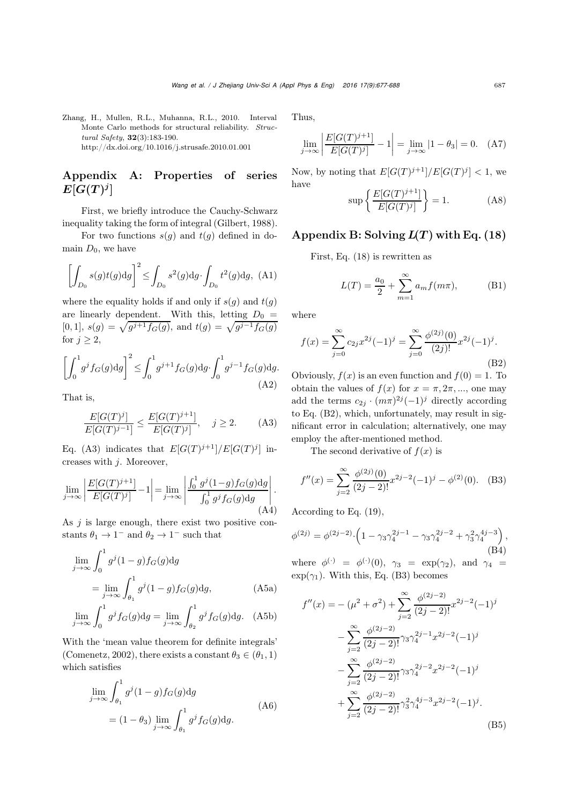Zhang, H., Mullen, R.L., Muhanna, R.L., 2010. Interval Monte Carlo methods for structural reliability. *Structural Safety*, 32(3):183-190. http://dx.doi.org/10.1016/j.strusafe.2010.01.001

## Appendix A: Properties of series  $E[G(T)^{j}]$

First, we briefly introduce the Cauchy-Schwarz inequality taking the form of integral (Gilbert, 1988).

For two functions  $s(q)$  and  $t(q)$  defined in domain  $D_0$ , we have

$$
\left[\int_{D_0} s(g)t(g)\mathrm{d}g\right]^2 \le \int_{D_0} s^2(g)\mathrm{d}g \cdot \int_{D_0} t^2(g)\mathrm{d}g, \text{ (A1)}
$$

where the equality holds if and only if  $s(q)$  and  $t(q)$ are linearly dependent. With this, letting  $D_0 =$ [0, 1],  $s(g) = \sqrt{g^{j+1}f_G(g)}$ , and  $t(g) = \sqrt{g^{j-1}f_G(g)}$ for  $j \geq 2$ ,

$$
\left[\int_0^1 g^j f_G(g) dg\right]^2 \le \int_0^1 g^{j+1} f_G(g) dg \cdot \int_0^1 g^{j-1} f_G(g) dg.
$$
\n(A2)

That is,

$$
\frac{E[G(T)^{j}]}{E[G(T)^{j-1}]} \le \frac{E[G(T)^{j+1}]}{E[G(T)^{j}]}, \quad j \ge 2.
$$
 (A3)

Eq. (A3) indicates that  $E[G(T)^{j+1}]/E[G(T)^{j}]$  increases with j. Moreover,

$$
\lim_{j \to \infty} \left| \frac{E[G(T)^{j+1}]}{E[G(T)^{j}]} - 1 \right| = \lim_{j \to \infty} \left| \frac{\int_0^1 g^j (1 - g) f_G(g) dg}{\int_0^1 g^j f_G(g) dg} \right|.
$$
\n(A4)

As  $j$  is large enough, there exist two positive constants  $\theta_1 \rightarrow 1^-$  and  $\theta_2 \rightarrow 1^-$  such that

$$
\lim_{j \to \infty} \int_0^1 g^j (1 - g) f_G(g) \mathrm{d}g
$$
\n
$$
= \lim_{j \to \infty} \int_{\theta_1}^1 g^j (1 - g) f_G(g) \mathrm{d}g,
$$
\n(A5a)

$$
\lim_{j \to \infty} \int_0^1 g^j f_G(g) \mathrm{d}g = \lim_{j \to \infty} \int_{\theta_2}^1 g^j f_G(g) \mathrm{d}g. \tag{A5b}
$$

With the 'mean value theorem for definite integrals' (Comenetz, 2002), there exists a constant  $\theta_3 \in (\theta_1, 1)$ which satisfies

$$
\lim_{j \to \infty} \int_{\theta_1}^1 g^j (1 - g) f_G(g) \mathrm{d}g
$$
\n
$$
= (1 - \theta_3) \lim_{j \to \infty} \int_{\theta_1}^1 g^j f_G(g) \mathrm{d}g.
$$
\n(A6)

Thus,

$$
\lim_{j \to \infty} \left| \frac{E[G(T)^{j+1}]}{E[G(T)^{j}]} - 1 \right| = \lim_{j \to \infty} |1 - \theta_3| = 0. \quad (A7)
$$

Now, by noting that  $E[G(T)^{j+1}]/E[G(T)^{j}] < 1$ , we have

$$
\sup \left\{ \frac{E[G(T)^{j+1}]}{E[G(T)^j]} \right\} = 1. \tag{A8}
$$

## Appendix B: Solving  $L(T)$  with Eq. (18)

First, Eq. (18) is rewritten as

$$
L(T) = \frac{a_0}{2} + \sum_{m=1}^{\infty} a_m f(m\pi),
$$
 (B1)

where

$$
f(x) = \sum_{j=0}^{\infty} c_{2j} x^{2j} (-1)^j = \sum_{j=0}^{\infty} \frac{\phi^{(2j)}(0)}{(2j)!} x^{2j} (-1)^j.
$$
\n(B2)

Obviously,  $f(x)$  is an even function and  $f(0) = 1$ . To obtain the values of  $f(x)$  for  $x = \pi, 2\pi, \dots$ , one may add the terms  $c_{2j} \cdot (m\pi)^{2j} (-1)^j$  directly according to Eq. (B2), which, unfortunately, may result in significant error in calculation; alternatively, one may employ the after-mentioned method.

The second derivative of  $f(x)$  is

$$
f''(x) = \sum_{j=2}^{\infty} \frac{\phi^{(2j)}(0)}{(2j-2)!} x^{2j-2} (-1)^j - \phi^{(2)}(0). \quad (B3)
$$

According to Eq. (19),

$$
\phi^{(2j)} = \phi^{(2j-2)} \cdot \left( 1 - \gamma_3 \gamma_4^{2j-1} - \gamma_3 \gamma_4^{2j-2} + \gamma_3^2 \gamma_4^{4j-3} \right),\tag{B4}
$$

where  $\phi^{(\cdot)} = \phi^{(\cdot)}(0)$ ,  $\gamma_3 = \exp(\gamma_2)$ , and  $\gamma_4 = \exp(\alpha)$ . With this Eq. (P2) becomes  $\exp(\gamma_1)$ . With this, Eq. (B3) becomes

$$
f''(x) = -(\mu^2 + \sigma^2) + \sum_{j=2}^{\infty} \frac{\phi^{(2j-2)}}{(2j-2)!} x^{2j-2} (-1)^j
$$
  

$$
- \sum_{j=2}^{\infty} \frac{\phi^{(2j-2)}}{(2j-2)!} \gamma_3 \gamma_4^{2j-1} x^{2j-2} (-1)^j
$$
  

$$
- \sum_{j=2}^{\infty} \frac{\phi^{(2j-2)}}{(2j-2)!} \gamma_3 \gamma_4^{2j-2} x^{2j-2} (-1)^j
$$
  

$$
+ \sum_{j=2}^{\infty} \frac{\phi^{(2j-2)}}{(2j-2)!} \gamma_3^2 \gamma_4^{4j-3} x^{2j-2} (-1)^j.
$$
  
(B5)